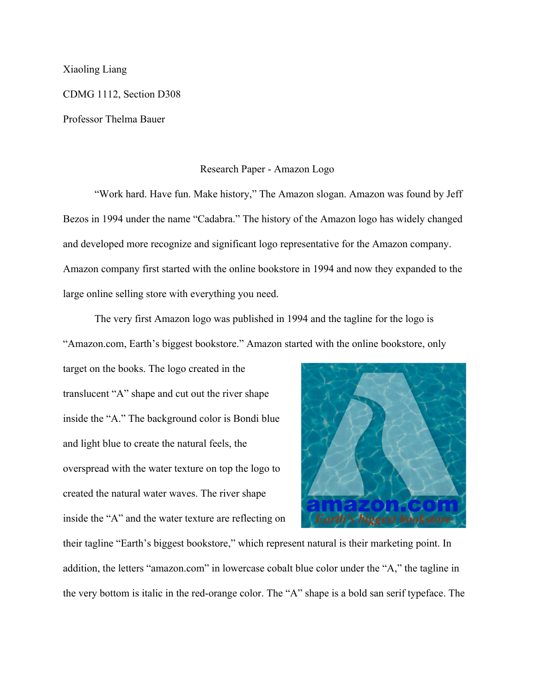## Xiaoling Liang

CDMG 1112, Section D308

Professor Thelma Bauer

## Research Paper - Amazon Logo

"Work hard. Have fun. Make history," The Amazon slogan. Amazon was found by Jeff Bezos in 1994 under the name "Cadabra." The history of the Amazon logo has widely changed and developed more recognize and significant logo representative for the Amazon company. Amazon company first started with the online bookstore in 1994 and now they expanded to the large online selling store with everything you need.

The very first Amazon logo was published in 1994 and the tagline for the logo is

"Amazon.com, Earth's biggest bookstore." Amazon started with the online bookstore, only

target on the books. The logo created in the translucent "A" shape and cut out the river shape inside the "A." The background color is Bondi blue and light blue to create the natural feels, the overspread with the water texture on top the logo to created the natural water waves. The river shape inside the "A" and the water texture are reflecting on



their tagline "Earth's biggest bookstore," which represent natural is their marketing point. In addition, the letters "amazon.com" in lowercase cobalt blue color under the "A," the tagline in the very bottom is italic in the red-orange color. The "A" shape is a bold san serif typeface. The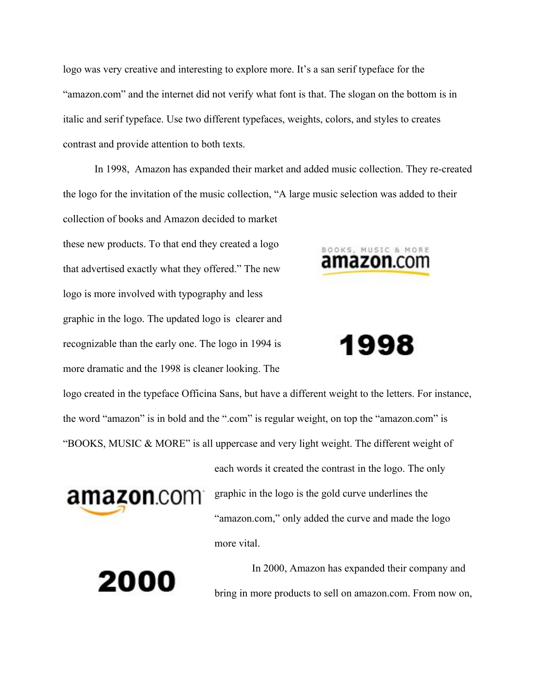logo was very creative and interesting to explore more. It's a san serif typeface for the "amazon.com" and the internet did not verify what font is that. The slogan on the bottom is in italic and serif typeface. Use two different typefaces, weights, colors, and styles to creates contrast and provide attention to both texts.

In 1998, Amazon has expanded their market and added music collection. They re-created the logo for the invitation of the music collection, "A large music selection was added to their collection of books and Amazon decided to market

these new products. To that end they created a logo that advertised exactly what they offered." The new logo is more involved with typography and less graphic in the logo. The updated logo is clearer and recognizable than the early one. The logo in 1994 is more dramatic and the 1998 is cleaner looking. The



1998

logo created in the typeface Officina Sans, but have a different weight to the letters. For instance, the word "amazon" is in bold and the ".com" is regular weight, on top the "amazon.com" is "BOOKS, MUSIC & MORE" is all uppercase and very light weight. The different weight of



graphic in the logo is the gold curve underlines the "amazon.com," only added the curve and made the logo more vital.

each words it created the contrast in the logo. The only

2000

In 2000, Amazon has expanded their company and bring in more products to sell on amazon.com. From now on,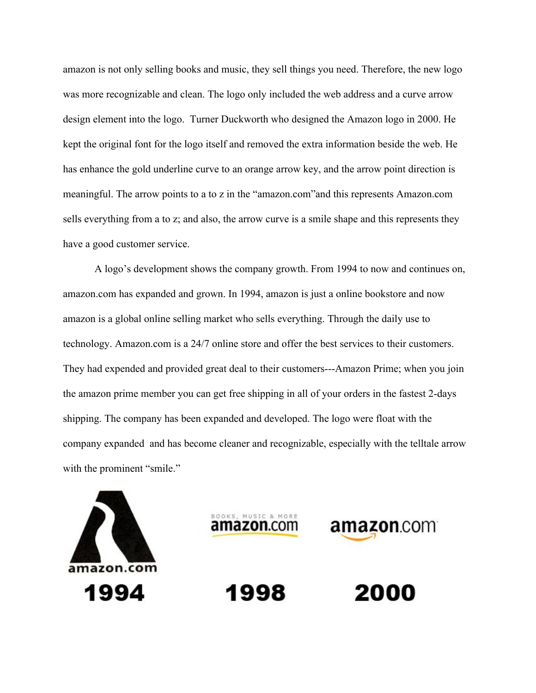amazon is not only selling books and music, they sell things you need. Therefore, the new logo was more recognizable and clean. The logo only included the web address and a curve arrow design element into the logo. Turner Duckworth who designed the Amazon logo in 2000. He kept the original font for the logo itself and removed the extra information beside the web. He has enhance the gold underline curve to an orange arrow key, and the arrow point direction is meaningful. The arrow points to a to z in the "amazon.com"and this represents Amazon.com sells everything from a to z; and also, the arrow curve is a smile shape and this represents they have a good customer service.

A logo's development shows the company growth. From 1994 to now and continues on, amazon.com has expanded and grown. In 1994, amazon is just a online bookstore and now amazon is a global online selling market who sells everything. Through the daily use to technology. Amazon.com is a 24/7 online store and offer the best services to their customers. They had expended and provided great deal to their customers---Amazon Prime; when you join the amazon prime member you can get free shipping in all of your orders in the fastest 2-days shipping. The company has been expanded and developed. The logo were float with the company expanded and has become cleaner and recognizable, especially with the telltale arrow with the prominent "smile."

> OOKS, MUSIC & MOR **amazon**.com

> > 1998

**amazon**.com

2000